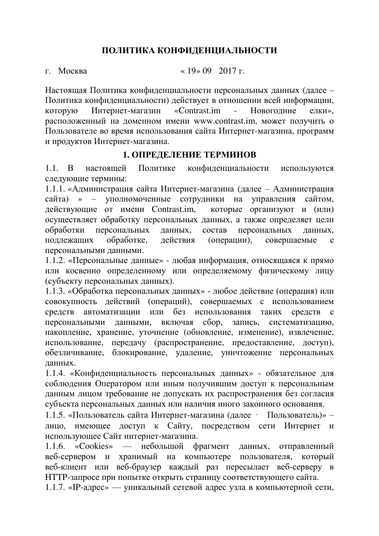### ПОЛИТИКА КОНФИДЕНЦИАЛЬНОСТИ

 $\mu$ . Москва « 19» 09 2017 г.

Настоящая Политика конфиденциальности персональных данных (далее – Политика конфиденциальности) действует в отношении всей информации, которую Интернет-магазин «Contrast.im - Новогодние елки», расположенный на доменном имени [www.c](http://www.________________________________________________/)ontrast.im, может получить о Пользователе во время использования сайта Интернет-магазина, программ и продуктов Интернет-магазина.

### **1. ОПРЕДЕЛЕНИЕ ТЕРМИНОВ**

1.1. В настоящей Политике конфиденциальности используются следующие термины:

1.1.1. «Администрация сайта Интернет-магазина (далее – Администрация сайта) » – уполномоченные сотрудники на управления сайтом, действующие от имени Contrast.im, которые организуют и (или) осуществляет обработку персональных данных, а также определяет цели обработки персональных данных, состав персональных данных, подлежащих обработке, действия (операции), совершаемые с персональными данными.

1.1.2. «Персональные данные» - любая информация, относящаяся к прямо или косвенно определенному или определяемому физическому лицу (субъекту персональных данных).

1.1.3. «Обработка персональных данных» - любое действие (операция) или совокупность действий (операций), совершаемых с использованием средств автоматизации или без использования таких средств с персональными данными, включая сбор, запись, систематизацию, накопление, хранение, уточнение (обновление, изменение), извлечение, использование, передачу (распространение, предоставление, доступ), обезличивание, блокирование, удаление, уничтожение персональных данных.

1.1.4. «Конфиденциальность персональных данных» - обязательное для соблюдения Оператором или иным получившим доступ к персональным данным лицом требование не допускать их распространения без согласия субъекта персональных данных или наличия иного законного основания.

1.1.5. «Пользователь сайта Интернет-магазина (далее – Пользователь)» – лицо, имеющее доступ к Сайту, посредством сети Интернет и использующее Сайт интернет-магазина.

1.1.6. «Cookies» — небольшой фрагмент данных, отправленный веб-сервером и хранимый на компьютере пользователя, который веб-клиент или веб-браузер каждый раз пересылает веб-серверу в НТТР-запросе при попытке открыть страницу соответствующего сайта.

1.1.7. «IP-адрес» — уникальный сетевой адрес узла в компьютерной сети,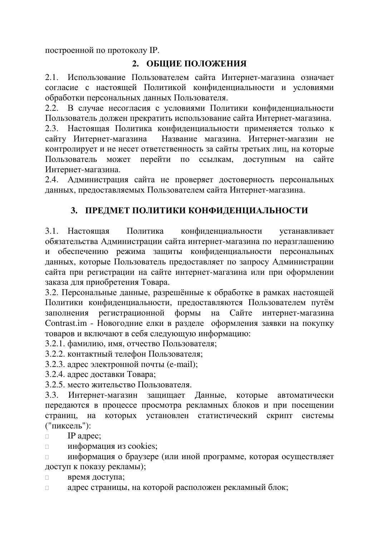построенной по протоколу IP.

# **2. ОБЩИЕ ПОЛОЖЕНИЯ**

2.1. Использование Пользователем сайта Интернет-магазина означает согласие с настоящей Политикой конфиденциальности и условиями обработки персональных данных Пользователя.

2.2. В случае несогласия с условиями Политики конфиденциальности Пользователь должен прекратить использование сайта Интернет-магазина.

2.3. Настоящая Политика конфиденциальности применяется только к сайту Интернет-магазина Название магазина. Интернет-магазин не контролирует и не несет ответственность за сайты третьих лиц, на которые Пользователь может перейти по ссылкам, доступным на сайте Интернет-магазина.

2.4. Администрация сайта не проверяет достоверность персональных данных, предоставляемых Пользователем сайта Интернет-магазина.

# 3. ПРЕДМЕТ ПОЛИТИКИ КОНФИДЕНЦИАЛЬНОСТИ

3.1. Настоящая Политика конфиденциальности устанавливает обязательства Администрации сайта интернет-магазина по неразглашению и обеспечению режима защиты конфиденциальности персональных данных, которые Пользователь предоставляет по запросу Администрации сайта при регистрации на сайте интернет-магазина или при оформлении заказа для приобретения Товара.

3.2. Персональные данные, разрешённые к обработке в рамках настоящей Политики конфиденциальности, предоставляются Пользователем путём заполнения регистрационной формы на Сайте интернет-магазина Contrast.im - Новогодние елки в разделе оформления заявки на покупку товаров и включают в себя следующую информацию:

3.2.1. фамилию, имя, отчество Пользователя;

3.2.2. контактный телефон Пользователя;

3.2.3. адрес электронной почты (e-mail);

3.2.4. адрес доставки Товара;

3.2.5. место жительство Пользователя.

3.3. Интернет-магазин защищает Данные, которые автоматически передаются в процессе просмотра рекламных блоков и при посещении страниц, на которых установлен статистический скрипт системы ("пиксель"):

- $\Box$  IP адрес;
- $□$  информация из cookies;

□ информация о браузере (или иной программе, которая осуществляет доступ к показу рекламы);

**а** время доступа;

□ адрес страницы, на которой расположен рекламный блок;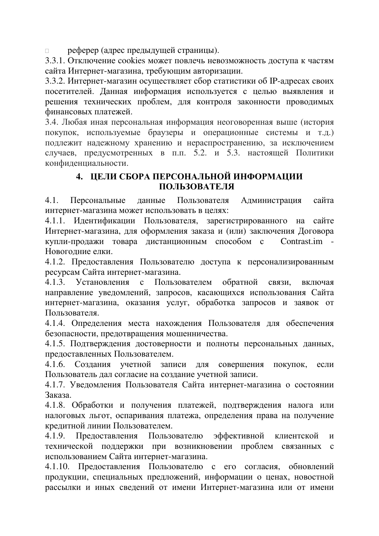**полната** реферер (адрес предыдущей страницы).

3.3.1. Отключение cookies может повлечь невозможность доступа к частям сайта Интернет-магазина, требующим авторизации.

3.3.2. Интернет-магазин осуществляет сбор статистики об IP-адресах своих посетителей. Данная информация используется с целью выявления и решения технических проблем, для контроля законности проводимых финансовых платежей.

3.4. Любая иная персональная информация неоговоренная выше (история покупок, используемые браузеры и операционные системы и т.д.) подлежит надежному хранению и нераспространению, за исключением случаев, предусмотренных в п.п. 5.2. и 5.3. настоящей Политики конфиденциальности.

### **4. ЦЕЛИ СБОРА ПЕРСОНАЛЬНОЙ ИНФОРМАЦИИ** ПОЛЬЗОВАТЕЛЯ

4.1. Персональные данные Пользователя Администрация сайта интернет-магазина может использовать в целях:

4.1.1. Идентификации Пользователя, зарегистрированного на сайте Интернет-магазина, для оформления заказа и (или) заключения Договора купли-продажи товара дистанционным способом с Contrast.im -Новогодние елки.

4.1.2. Предоставления Пользователю доступа к персонализированным ресурсам Сайта интернет-магазина.

4.1.3. Установления с Пользователем обратной связи, включая направление уведомлений, запросов, касающихся использования Сайта интернет-магазина, оказания услуг, обработка запросов и заявок от Пользователя.

4.1.4. Определения места нахождения Пользователя для обеспечения безопасности, предотвращения мошенничества.

4.1.5. Подтверждения достоверности и полноты персональных данных, предоставленных Пользователем.

4.1.6. Создания учетной записи для совершения покупок, если Пользователь дал согласие на создание учетной записи.

4.1.7. Уведомления Пользователя Сайта интернет-магазина о состоянии Заказа.

4.1.8. Обработки и получения платежей, подтверждения налога или налоговых льгот, оспаривания платежа, определения права на получение кредитной линии Пользователем.

4.1.9. Предоставления Пользователю эффективной клиентской и технической поддержки при возникновении проблем связанных с использованием Сайта интернет-магазина.

4.1.10. Предоставления Пользователю с его согласия, обновлений продукции, специальных предложений, информации о ценах, новостной рассылки и иных сведений от имени Интернет-магазина или от имени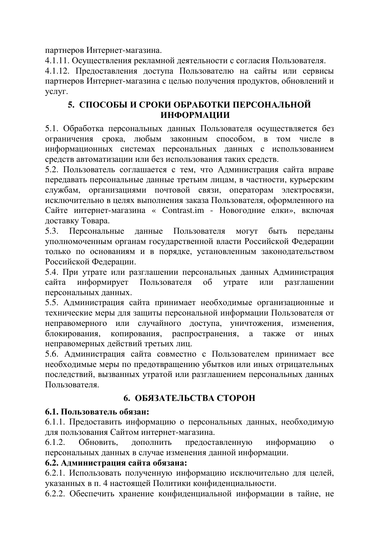партнеров Интернет-магазина.

4.1.11. Осуществления рекламной деятельности с согласия Пользователя.

4.1.12. Предоставления доступа Пользователю на сайты или сервисы партнеров Интернет-магазина с целью получения продуктов, обновлений и yслyг.

### 5. СПОСОБЫ И СРОКИ ОБРАБОТКИ ПЕРСОНАЛЬНОЙ ИНФОРМАЦИИ

5.1. Обработка персональных данных Пользователя осуществляется без ограничения срока, любым законным способом, в том числе в информационных системах персональных данных с использованием средств автоматизации или без использования таких средств.

5.2. Пользователь соглашается с тем, что Администрация сайта вправе передавать персональные данные третьим лицам, в частности, курьерским службам, организациями почтовой связи, операторам электросвязи, исключительно в целях выполнения заказа Пользователя, оформленного на Сайте интернет-магазина « Contrast.im - Новогодние елки», включая доставку Товара.

5.3. Персональные данные Пользователя могут быть переданы уполномоченным органам государственной власти Российской Федерации только по основаниям и в порядке, установленным законодательством Российской Федерации.

5.4. При утрате или разглашении персональных данных Администрация сайта информирует Пользователя об утрате или разглашении персональных данных.

5.5. Администрация сайта принимает необходимые организационные и технические меры для защиты персональной информации Пользователя от неправомерного или случайного доступа, уничтожения, изменения, блокирования, копирования, распространения, а также от иных неправомерных действий третьих лиц.

5.6. Администрация сайта совместно с Пользователем принимает все необходимые меры по предотвращению убытков или иных отрицательных последствий, вызванных утратой или разглашением персональных данных Пользователя.

# **6. ОБЯЗАТЕЛЬСТВА СТОРОН**

## $6.1.$  Пользователь обязан:

6.1.1. Предоставить информацию о персональных данных, необходимую для пользования Сайтом интернет-магазина.

6.1.2. Обновить, дополнить предоставленную информацию о персональных данных в случае изменения данной информации.

### $6.2.$  Администрация сайта обязана:

6.2.1. Использовать полученную информацию исключительно для целей, указанных в п. 4 настоящей Политики конфиденциальности.

6.2.2. Обеспечить хранение конфиденциальной информации в тайне, не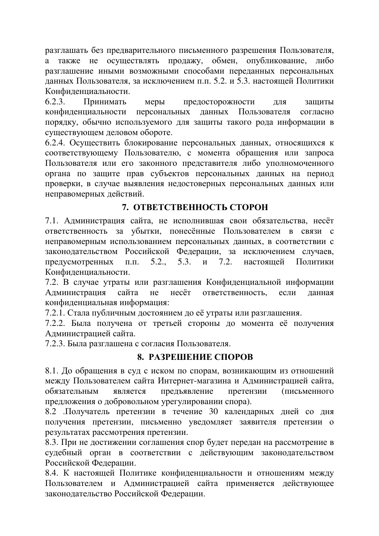разглашать без предварительного письменного разрешения Пользователя, а также не осуществлять продажу, обмен, опубликование, либо разглашение иными возможными способами переданных персональных данных Пользователя, за исключением п.п. 5.2. и 5.3. настоящей Политики Конфиденциальности.

6.2.3. Принимать меры предосторожности для защиты конфиденциальности персональных данных Пользователя согласно порядку, обычно используемого для защиты такого рода информации в существующем деловом обороте.

6.2.4. Осуществить блокирование персональных данных, относящихся к соответствующему Пользователю, с момента обращения или запроса Пользователя или его законного представителя либо уполномоченного органа по защите прав субъектов персональных данных на период проверки, в случае выявления недостоверных персональных данных или неправомерных действий.

## **7. ОТВЕТСТВЕННОСТЬ СТОРОН**

7.1. Администрация сайта, не исполнившая свои обязательства, несёт ответственность за убытки, понесённые Пользователем в связи с неправомерным использованием персональных данных, в соответствии с законодательством Российской Федерации, за исключением случаев, предусмотренных п.п. 5.2., 5.3. и 7.2. настоящей Политики Конфиденциальности.

7.2. В случае утраты или разглашения Конфиденциальной информации Администрация сайта не несёт ответственность, если данная конфиденциальная информация:

7.2.1. Стала публичным достоянием до её утраты или разглашения.

7.2.2. Была получена от третьей стороны до момента её получения Администрацией сайта.

7.2.3. Была разглашена с согласия Пользователя.

#### 8. РАЗРЕШЕНИЕ СПОРОВ

8.1. До обращения в суд с иском по спорам, возникающим из отношений между Пользователем сайта Интернет-магазина и Администрацией сайта, обязательным является предъявление претензии (письменного предложения о добровольном урегулировании спора).

8.2 .Получатель претензии в течение 30 календарных дней со дня получения претензии, письменно уведомляет заявителя претензии о результатах рассмотрения претензии.

8.3. При не достижении соглашения спор будет передан на рассмотрение в судебный орган в соответствии с действующим законодательством Российской Федерации.

8.4. К настоящей Политике конфиденциальности и отношениям между Пользователем и Администрацией сайта применяется действующее законодательство Российской Федерации.